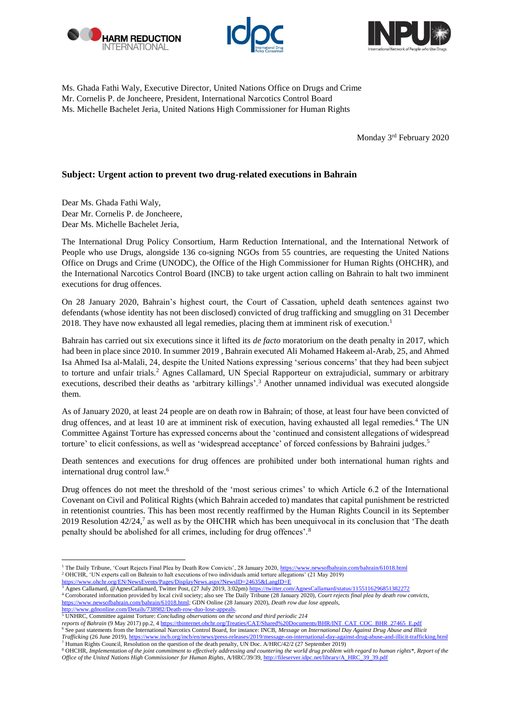





Ms. Ghada Fathi Waly, Executive Director, United Nations Office on Drugs and Crime Mr. Cornelis P. de Joncheere, President, International Narcotics Control Board Ms. Michelle Bachelet Jeria, United Nations High Commissioner for Human Rights

Monday 3rd February 2020

## **Subject: Urgent action to prevent two drug-related executions in Bahrain**

Dear Ms. Ghada Fathi Waly, Dear Mr. Cornelis P. de Joncheere, Dear Ms. Michelle Bachelet Jeria,

The International Drug Policy Consortium, Harm Reduction International, and the International Network of People who use Drugs, alongside 136 co-signing NGOs from 55 countries, are requesting the United Nations Office on Drugs and Crime (UNODC), the Office of the High Commissioner for Human Rights (OHCHR), and the International Narcotics Control Board (INCB) to take urgent action calling on Bahrain to halt two imminent executions for drug offences.

On 28 January 2020, Bahrain's highest court, the Court of Cassation, upheld death sentences against two defendants (whose identity has not been disclosed) convicted of drug trafficking and smuggling on 31 December 2018. They have now exhausted all legal remedies, placing them at imminent risk of execution.<sup>1</sup>

Bahrain has carried out six executions since it lifted its *de facto* moratorium on the death penalty in 2017, which had been in place since 2010. In summer 2019 , Bahrain executed Ali Mohamed Hakeem al-Arab, 25, and Ahmed Isa Ahmed Isa al-Malali, 24, despite the United Nations expressing 'serious concerns' that they had been subject to torture and unfair trials.<sup>2</sup> Agnes Callamard, UN Special Rapporteur on extrajudicial, summary or arbitrary executions, described their deaths as 'arbitrary killings'.<sup>3</sup> Another unnamed individual was executed alongside them.

As of January 2020, at least 24 people are on death row in Bahrain; of those, at least four have been convicted of drug offences, and at least 10 are at imminent risk of execution, having exhausted all legal remedies.<sup>4</sup> The UN Committee Against Torture has expressed concerns about the 'continued and consistent allegations of widespread torture' to elicit confessions, as well as 'widespread acceptance' of forced confessions by Bahraini judges.<sup>5</sup>

Death sentences and executions for drug offences are prohibited under both international human rights and international drug control law. 6

Drug offences do not meet the threshold of the 'most serious crimes' to which Article 6.2 of the International Covenant on Civil and Political Rights (which Bahrain acceded to) mandates that capital punishment be restricted in retentionist countries. This has been most recently reaffirmed by the Human Rights Council in its September 2019 Resolution 42/24,<sup>7</sup> as well as by the OHCHR which has been unequivocal in its conclusion that 'The death penalty should be abolished for all crimes, including for drug offences'.<sup>8</sup>

reports of Bahrain (9 May 2017) pp.2, 4 [https://tbinternet.ohchr.org/Treaties/CAT/Shared%20Documents/BHR/INT\\_CAT\\_COC\\_BHR\\_27465\\_E.pdf](https://tbinternet.ohchr.org/Treaties/CAT/Shared%20Documents/BHR/INT_CAT_COC_BHR_27465_E.pdf)<br><sup>6</sup> See past statements from the International Narcotics Control Board, for instance: INC

**<sup>.</sup>** <sup>1</sup> The Daily Tribune, 'Court Rejects Final Plea by Death Row Convicts', 28 January 2020[, https://www.newsofbahrain.com/bahrain/61018.html](https://www.newsofbahrain.com/bahrain/61018.html) <sup>2</sup> OHCHR, 'UN experts call on Bahrain to halt executions of two individuals amid torture allegations' (21 May 2019) w.ohchr.org/EN/NewsEvents/Pages/DisplayNews.aspx?NewsID=24635&LangID=E

<sup>3</sup> Agnes Callamard, @AgnesCallamard, Twitter Post, (27 July 2019, 3:02pm[\) https://twitter.com/AgnesCallamard/status/1155116296851382272](https://twitter.com/AgnesCallamard/status/1155116296851382272) <sup>4</sup> Corroborated information provided by local civil society; also see The Daily Tribune (28 January 2020), *Court rejects final plea by death row convicts,*  [https://www.newsofbahrain.com/bahrain/61018.html;](https://www.newsofbahrain.com/bahrain/61018.html) GDN Online (28 January 2020), *Death row due lose appeals,*

[http://www.gdnonline.com/Details/738982/Death-row-duo-lose-appeals.](http://www.gdnonline.com/Details/738982/Death-row-duo-lose-appeals) <sup>5</sup> UNHRC, Committee against Torture: *Concluding observations on the second and third periodic 214*

*Trafficking* (26 June 2019)[, https://www.incb.org/incb/en/news/press-releases/2019/message-on-international-day-against-drug-abuse-and-illicit-trafficking.html](https://www.incb.org/incb/en/news/press-releases/2019/message-on-international-day-against-drug-abuse-and-illicit-trafficking.html) <sup>7</sup> Human Rights Council, Resolution on the question of the death penalty, UN Doc. A/HRC/42/2 (27 September 2019)

<sup>8</sup> OHCHR, *Implementation of the joint commitment to effectively addressing and countering the world drug problem with regard to human rights\*, Report of the Office of the United Nations High Commissioner for Human Rights*, A/HRC/39/39[, http://fileserver.idpc.net/library/A\\_HRC\\_39\\_39.pdf](http://fileserver.idpc.net/library/A_HRC_39_39.pdf)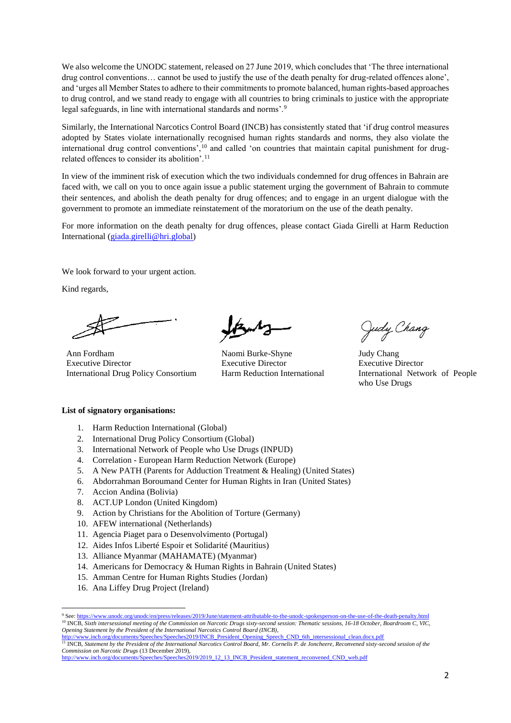We also welcome the UNODC statement, released on 27 June 2019, which concludes that 'The three international drug control conventions… cannot be used to justify the use of the death penalty for drug-related offences alone', and 'urges all Member States to adhere to their commitments to promote balanced, human rights-based approaches to drug control, and we stand ready to engage with all countries to bring criminals to justice with the appropriate legal safeguards, in line with international standards and norms'.<sup>9</sup>

Similarly, the International Narcotics Control Board (INCB) has consistently stated that 'if drug control measures adopted by States violate internationally recognised human rights standards and norms, they also violate the international drug control conventions',<sup>10</sup> and called 'on countries that maintain capital punishment for drugrelated offences to consider its abolition'.<sup>11</sup>

In view of the imminent risk of execution which the two individuals condemned for drug offences in Bahrain are faced with, we call on you to once again issue a public statement urging the government of Bahrain to commute their sentences, and abolish the death penalty for drug offences; and to engage in an urgent dialogue with the government to promote an immediate reinstatement of the moratorium on the use of the death penalty.

For more information on the death penalty for drug offences, please contact Giada Girelli at Harm Reduction International [\(giada.girelli@hri.global\)](mailto:giada.girelli@hri.global)

We look forward to your urgent action.

Kind regards,

Ann Fordham Executive Director International Drug Policy Consortium

Naomi Burke-Shyne Executive Director Harm Reduction International

Judy Chang

Judy Chang Executive Director International Network of People who Use Drugs

## **List of signatory organisations:**

- 1. Harm Reduction International (Global)
- 2. International Drug Policy Consortium (Global)
- 3. International Network of People who Use Drugs (INPUD)
- 4. Correlation European Harm Reduction Network (Europe)
- 5. A New PATH (Parents for Adduction Treatment & Healing) (United States)
- 6. Abdorrahman Boroumand Center for Human Rights in Iran (United States)
- 7. Accion Andina (Bolivia)
- 8. ACT.UP London (United Kingdom)
- 9. Action by Christians for the Abolition of Torture (Germany)
- 10. AFEW international (Netherlands)
- 11. Agencia Piaget para o Desenvolvimento (Portugal)
- 12. Aides Infos Liberté Espoir et Solidarité (Mauritius)
- 13. Alliance Myanmar (MAHAMATE) (Myanmar)
- 14. Americans for Democracy & Human Rights in Bahrain (United States)
- 15. Amman Centre for Human Rights Studies (Jordan)
- 16. Ana Liffey Drug Project (Ireland)

**.** 

<sup>9</sup> See[: https://www.unodc.org/unodc/en/press/releases/2019/June/statement-attributable-to-the-unodc-spokesperson-on-the-use-of-the-death-penalty.html](https://www.unodc.org/unodc/en/press/releases/2019/June/statement-attributable-to-the-unodc-spokesperson-on-the-use-of-the-death-penalty.html) <sup>10</sup> INCB, *Sixth intersessional meeting of the Commission on Narcotic Drugs sixty-second session: Thematic sessions, 16-18 October, Boardroom C, VIC, Opening Statement by the President of the International Narcotics Control Board (INCB)*,

[http://www.incb.org/documents/Speeches/Speeches2019/INCB\\_President\\_Opening\\_Speech\\_CND\\_6th\\_intersessional\\_clean.docx.pdf](http://www.incb.org/documents/Speeches/Speeches2019/INCB_President_Opening_Speech_CND_6th_intersessional_clean.docx.pdf)<br><sup>11</sup> INCB, Statement by the President of the International Narcotics Control Board, Mr. Cornelis P. de

*Commission on Narcotic Drugs* (13 December 2019),

[http://www.incb.org/documents/Speeches/Speeches2019/2019\\_12\\_13\\_INCB\\_President\\_statement\\_reconvened\\_CND\\_web.pdf](http://www.incb.org/documents/Speeches/Speeches2019/2019_12_13_INCB_President_statement_reconvened_CND_web.pdf)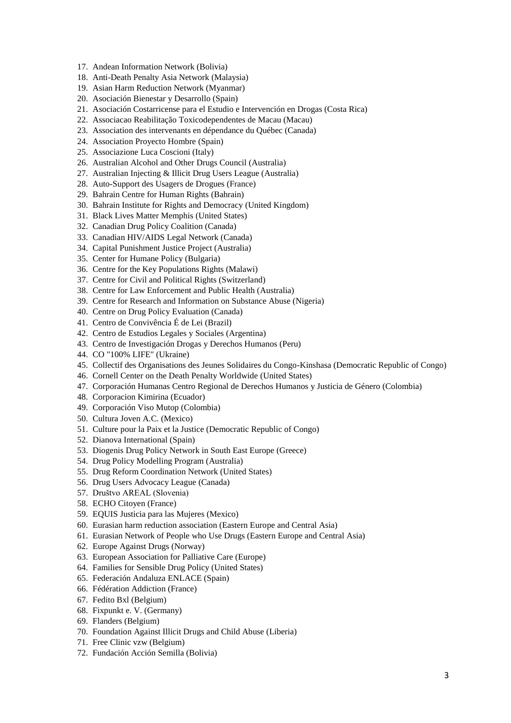- 17. Andean Information Network (Bolivia)
- 18. Anti-Death Penalty Asia Network (Malaysia)
- 19. Asian Harm Reduction Network (Myanmar)
- 20. Asociación Bienestar y Desarrollo (Spain)
- 21. Asociación Costarricense para el Estudio e Intervención en Drogas (Costa Rica)
- 22. Associacao Reabilitação Toxicodependentes de Macau (Macau)
- 23. Association des intervenants en dépendance du Québec (Canada)
- 24. Association Proyecto Hombre (Spain)
- 25. Associazione Luca Coscioni (Italy)
- 26. Australian Alcohol and Other Drugs Council (Australia)
- 27. Australian Injecting & Illicit Drug Users League (Australia)
- 28. Auto-Support des Usagers de Drogues (France)
- 29. Bahrain Centre for Human Rights (Bahrain)
- 30. Bahrain Institute for Rights and Democracy (United Kingdom)
- 31. Black Lives Matter Memphis (United States)
- 32. Canadian Drug Policy Coalition (Canada)
- 33. Canadian HIV/AIDS Legal Network (Canada)
- 34. Capital Punishment Justice Project (Australia)
- 35. Center for Humane Policy (Bulgaria)
- 36. Centre for the Key Populations Rights (Malawi)
- 37. Centre for Civil and Political Rights (Switzerland)
- 38. Centre for Law Enforcement and Public Health (Australia)
- 39. Centre for Research and Information on Substance Abuse (Nigeria)
- 40. Centre on Drug Policy Evaluation (Canada)
- 41. Centro de Convivência É de Lei (Brazil)
- 42. Centro de Estudios Legales y Sociales (Argentina)
- 43. Centro de Investigación Drogas y Derechos Humanos (Peru)
- 44. CO "100% LIFE" (Ukraine)
- 45. Collectif des Organisations des Jeunes Solidaires du Congo-Kinshasa (Democratic Republic of Congo)
- 46. Cornell Center on the Death Penalty Worldwide (United States)
- 47. Corporación Humanas Centro Regional de Derechos Humanos y Justicia de Género (Colombia)
- 48. Corporacion Kimirina (Ecuador)
- 49. Corporación Viso Mutop (Colombia)
- 50. Cultura Joven A.C. (Mexico)
- 51. Culture pour la Paix et la Justice (Democratic Republic of Congo)
- 52. Dianova International (Spain)
- 53. Diogenis Drug Policy Network in South East Europe (Greece)
- 54. Drug Policy Modelling Program (Australia)
- 55. Drug Reform Coordination Network (United States)
- 56. Drug Users Advocacy League (Canada)
- 57. Društvo AREAL (Slovenia)
- 58. ECHO Citoyen (France)
- 59. EQUIS Justicia para las Mujeres (Mexico)
- 60. Eurasian harm reduction association (Eastern Europe and Central Asia)
- 61. Eurasian Network of People who Use Drugs (Eastern Europe and Central Asia)
- 62. Europe Against Drugs (Norway)
- 63. European Association for Palliative Care (Europe)
- 64. Families for Sensible Drug Policy (United States)
- 65. Federación Andaluza ENLACE (Spain)
- 66. Fédération Addiction (France)
- 67. Fedito Bxl (Belgium)
- 68. Fixpunkt e. V. (Germany)
- 69. Flanders (Belgium)
- 70. Foundation Against Illicit Drugs and Child Abuse (Liberia)
- 71. Free Clinic vzw (Belgium)
- 72. Fundación Acción Semilla (Bolivia)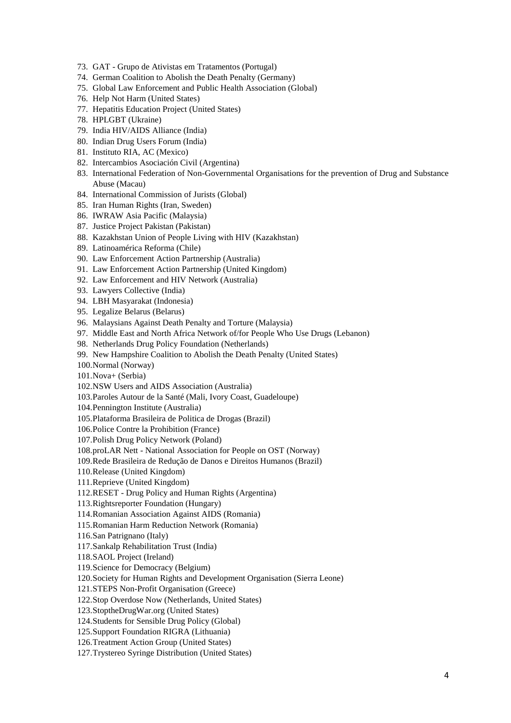- 73. GAT Grupo de Ativistas em Tratamentos (Portugal)
- 74. German Coalition to Abolish the Death Penalty (Germany)
- 75. Global Law Enforcement and Public Health Association (Global)
- 76. Help Not Harm (United States)
- 77. Hepatitis Education Project (United States)
- 78. HPLGBT (Ukraine)
- 79. India HIV/AIDS Alliance (India)
- 80. Indian Drug Users Forum (India)
- 81. Instituto RIA, AC (Mexico)
- 82. Intercambios Asociación Civil (Argentina)
- 83. International Federation of Non-Governmental Organisations for the prevention of Drug and Substance Abuse (Macau)
- 84. International Commission of Jurists (Global)
- 85. Iran Human Rights (Iran, Sweden)
- 86. IWRAW Asia Pacific (Malaysia)
- 87. Justice Project Pakistan (Pakistan)
- 88. Kazakhstan Union of People Living with HIV (Kazakhstan)
- 89. Latinoamérica Reforma (Chile)
- 90. Law Enforcement Action Partnership (Australia)
- 91. Law Enforcement Action Partnership (United Kingdom)
- 92. Law Enforcement and HIV Network (Australia)
- 93. Lawyers Collective (India)
- 94. LBH Masyarakat (Indonesia)
- 95. Legalize Belarus (Belarus)
- 96. Malaysians Against Death Penalty and Torture (Malaysia)
- 97. Middle East and North Africa Network of/for People Who Use Drugs (Lebanon)
- 98. Netherlands Drug Policy Foundation (Netherlands)
- 99. New Hampshire Coalition to Abolish the Death Penalty (United States)
- 100.Normal (Norway)
- 101.Nova+ (Serbia)
- 102.NSW Users and AIDS Association (Australia)
- 103.Paroles Autour de la Santé (Mali, Ivory Coast, Guadeloupe)
- 104.Pennington Institute (Australia)
- 105.Plataforma Brasileira de Politica de Drogas (Brazil)
- 106.Police Contre la Prohibition (France)
- 107.Polish Drug Policy Network (Poland)
- 108.proLAR Nett National Association for People on OST (Norway)
- 109.Rede Brasileira de Redução de Danos e Direitos Humanos (Brazil)
- 110.Release (United Kingdom)
- 111.Reprieve (United Kingdom)
- 112.RESET Drug Policy and Human Rights (Argentina)
- 113.Rightsreporter Foundation (Hungary)
- 114.Romanian Association Against AIDS (Romania)
- 115.Romanian Harm Reduction Network (Romania)
- 116.San Patrignano (Italy)
- 117.Sankalp Rehabilitation Trust (India)
- 118.SAOL Project (Ireland)
- 119.Science for Democracy (Belgium)
- 120.Society for Human Rights and Development Organisation (Sierra Leone)
- 121.STEPS Non-Profit Organisation (Greece)
- 122.Stop Overdose Now (Netherlands, United States)
- 123.StoptheDrugWar.org (United States)
- 124.Students for Sensible Drug Policy (Global)
- 125.Support Foundation RIGRA (Lithuania)
- 126.Treatment Action Group (United States)
- 127.Trystereo Syringe Distribution (United States)